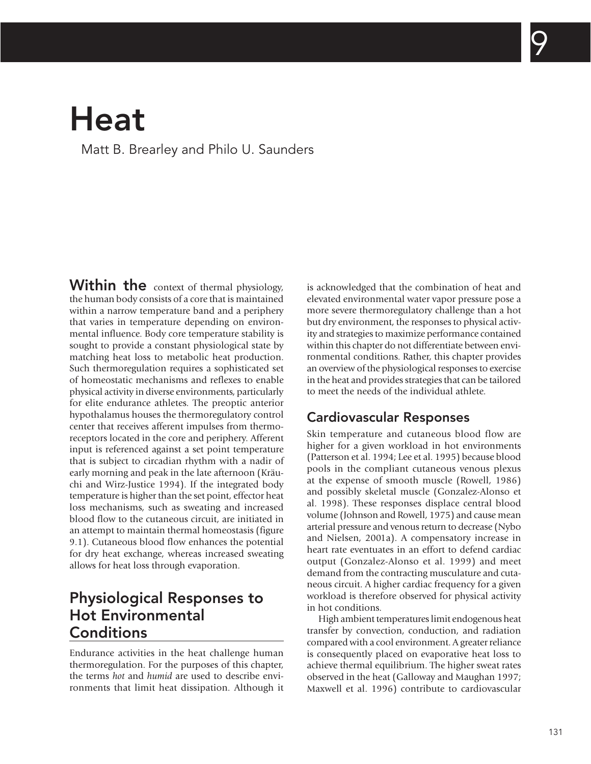9

# Heat Matt B. Brearley and Philo U. Saunders

Within the context of thermal physiology, the human body consists of a core that is maintained within a narrow temperature band and a periphery that varies in temperature depending on environmental influence. Body core temperature stability is sought to provide a constant physiological state by matching heat loss to metabolic heat production. Such thermoregulation requires a sophisticated set of homeostatic mechanisms and reflexes to enable physical activity in diverse environments, particularly for elite endurance athletes. The preoptic anterior hypothalamus houses the thermoregulatory control center that receives afferent impulses from thermoreceptors located in the core and periphery. Afferent input is referenced against a set point temperature that is subject to circadian rhythm with a nadir of early morning and peak in the late afternoon (Kräuchi and Wirz-Justice 1994). If the integrated body temperature is higher than the set point, effector heat loss mechanisms, such as sweating and increased blood flow to the cutaneous circuit, are initiated in an attempt to maintain thermal homeostasis (figure 9.1). Cutaneous blood flow enhances the potential for dry heat exchange, whereas increased sweating allows for heat loss through evaporation.

# Physiological Responses to Hot Environmental Conditions

Endurance activities in the heat challenge human thermoregulation. For the purposes of this chapter, the terms *hot* and *humid* are used to describe environments that limit heat dissipation. Although it is acknowledged that the combination of heat and elevated environmental water vapor pressure pose a more severe thermoregulatory challenge than a hot but dry environment, the responses to physical activity and strategies to maximize performance contained within this chapter do not differentiate between environmental conditions. Rather, this chapter provides an overview of the physiological responses to exercise in the heat and provides strategies that can be tailored to meet the needs of the individual athlete.

### Cardiovascular Responses

Skin temperature and cutaneous blood flow are higher for a given workload in hot environments (Patterson et al. 1994; Lee et al. 1995) because blood pools in the compliant cutaneous venous plexus at the expense of smooth muscle (Rowell, 1986) and possibly skeletal muscle (Gonzalez-Alonso et al. 1998). These responses displace central blood volume (Johnson and Rowell, 1975) and cause mean arterial pressure and venous return to decrease (Nybo and Nielsen, 2001a). A compensatory increase in heart rate eventuates in an effort to defend cardiac output (Gonzalez-Alonso et al. 1999) and meet demand from the contracting musculature and cutaneous circuit. A higher cardiac frequency for a given workload is therefore observed for physical activity in hot conditions.

High ambient temperatures limit endogenous heat transfer by convection, conduction, and radiation compared with a cool environment. A greater reliance is consequently placed on evaporative heat loss to achieve thermal equilibrium. The higher sweat rates observed in the heat (Galloway and Maughan 1997; Maxwell et al. 1996) contribute to cardiovascular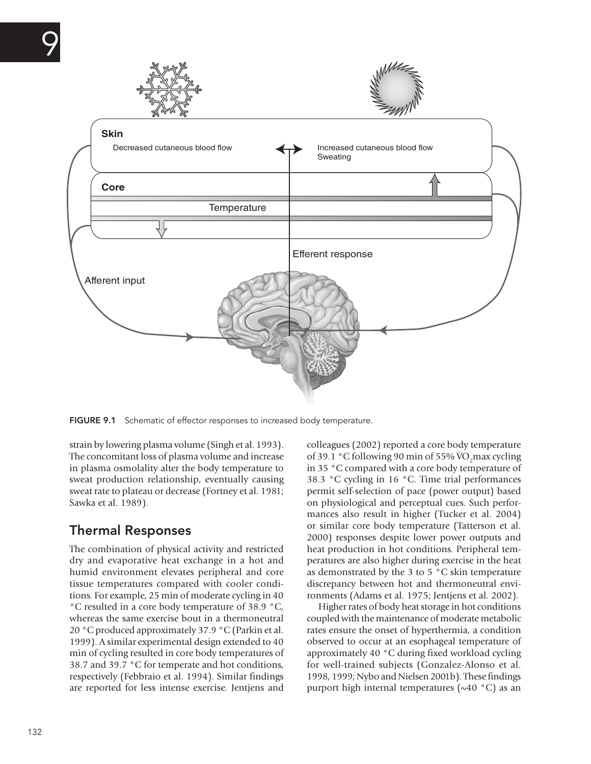

FIGURE 9.1 Schematic of effector responses to increased body temperature.

strain by lowering plasma volume (Singh et al. 1993). The concomitant loss of plasma volume and increase in plasma osmolality alter the body temperature to sweat production relationship, eventually causing sweat rate to plateau or decrease (Fortney et al. 1981; Sawka et al. 1989).

# Thermal Responses

The combination of physical activity and restricted dry and evaporative heat exchange in a hot and humid environment elevates peripheral and core tissue temperatures compared with cooler conditions. For example, 25 min of moderate cycling in 40 °C resulted in a core body temperature of 38.9 °C, whereas the same exercise bout in a thermoneutral 20 °C produced approximately 37.9 °C (Parkin et al. 1999). A similar experimental design extended to 40 min of cycling resulted in core body temperatures of 38.7 and 39.7 °C for temperate and hot conditions, respectively (Febbraio et al. 1994). Similar findings are reported for less intense exercise. Jentjens and

colleagues (2002) reported a core body temperature . of 39.1 °C following 90 min of 55%  $\rm\acute{W}O_{2}$ max cycling in 35 °C compared with a core body temperature of 38.3 °C cycling in 16 °C. Time trial performances permit self-selection of pace (power output) based on physiological and perceptual cues. Such performances also result in higher (Tucker et al. 2004) or similar core body temperature (Tatterson et al. 2000) responses despite lower power outputs and heat production in hot conditions. Peripheral temperatures are also higher during exercise in the heat as demonstrated by the 3 to 5 °C skin temperature discrepancy between hot and thermoneutral environments (Adams et al. 1975; Jentjens et al. 2002).

Higher rates of body heat storage in hot conditions coupled with the maintenance of moderate metabolic rates ensure the onset of hyperthermia, a condition observed to occur at an esophageal temperature of approximately 40 °C during fixed workload cycling for well-trained subjects (Gonzalez-Alonso et al. 1998, 1999; Nybo and Nielsen 2001b). These findings purport high internal temperatures ( $\sim$ 40 °C) as an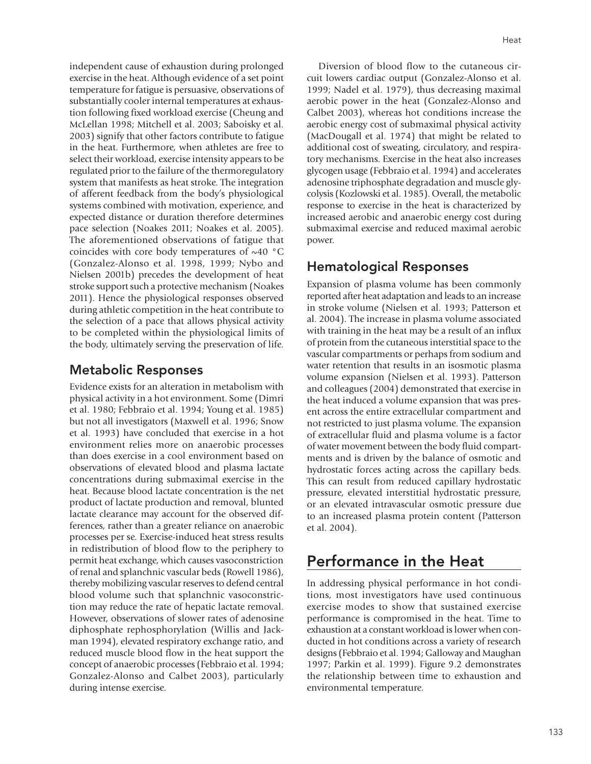independent cause of exhaustion during prolonged exercise in the heat. Although evidence of a set point temperature for fatigue is persuasive, observations of substantially cooler internal temperatures at exhaustion following fixed workload exercise (Cheung and McLellan 1998; Mitchell et al. 2003; Saboisky et al. 2003) signify that other factors contribute to fatigue in the heat. Furthermore, when athletes are free to select their workload, exercise intensity appears to be regulated prior to the failure of the thermoregulatory system that manifests as heat stroke. The integration of afferent feedback from the body's physiological systems combined with motivation, experience, and expected distance or duration therefore determines pace selection (Noakes 2011; Noakes et al. 2005). The aforementioned observations of fatigue that coincides with core body temperatures of  $\sim$ 40 °C (Gonzalez-Alonso et al. 1998, 1999; Nybo and Nielsen 2001b) precedes the development of heat stroke support such a protective mechanism (Noakes 2011). Hence the physiological responses observed during athletic competition in the heat contribute to the selection of a pace that allows physical activity to be completed within the physiological limits of the body, ultimately serving the preservation of life.

### Metabolic Responses

Evidence exists for an alteration in metabolism with physical activity in a hot environment. Some (Dimri et al. 1980; Febbraio et al. 1994; Young et al. 1985) but not all investigators (Maxwell et al. 1996; Snow et al. 1993) have concluded that exercise in a hot environment relies more on anaerobic processes than does exercise in a cool environment based on observations of elevated blood and plasma lactate concentrations during submaximal exercise in the heat. Because blood lactate concentration is the net product of lactate production and removal, blunted lactate clearance may account for the observed differences, rather than a greater reliance on anaerobic processes per se. Exercise-induced heat stress results in redistribution of blood flow to the periphery to permit heat exchange, which causes vasoconstriction of renal and splanchnic vascular beds (Rowell 1986), thereby mobilizing vascular reserves to defend central blood volume such that splanchnic vasoconstriction may reduce the rate of hepatic lactate removal. However, observations of slower rates of adenosine diphosphate rephosphorylation (Willis and Jackman 1994), elevated respiratory exchange ratio, and reduced muscle blood flow in the heat support the concept of anaerobic processes (Febbraio et al. 1994; Gonzalez-Alonso and Calbet 2003), particularly during intense exercise.

Diversion of blood flow to the cutaneous circuit lowers cardiac output (Gonzalez-Alonso et al. 1999; Nadel et al. 1979), thus decreasing maximal aerobic power in the heat (Gonzalez-Alonso and Calbet 2003), whereas hot conditions increase the aerobic energy cost of submaximal physical activity (MacDougall et al. 1974) that might be related to additional cost of sweating, circulatory, and respiratory mechanisms. Exercise in the heat also increases glycogen usage (Febbraio et al. 1994) and accelerates adenosine triphosphate degradation and muscle glycolysis (Kozlowski et al. 1985). Overall, the metabolic response to exercise in the heat is characterized by increased aerobic and anaerobic energy cost during submaximal exercise and reduced maximal aerobic power.

# Hematological Responses

Expansion of plasma volume has been commonly reported after heat adaptation and leads to an increase in stroke volume (Nielsen et al. 1993; Patterson et al. 2004). The increase in plasma volume associated with training in the heat may be a result of an influx of protein from the cutaneous interstitial space to the vascular compartments or perhaps from sodium and water retention that results in an isosmotic plasma volume expansion (Nielsen et al. 1993). Patterson and colleagues (2004) demonstrated that exercise in the heat induced a volume expansion that was present across the entire extracellular compartment and not restricted to just plasma volume. The expansion of extracellular fluid and plasma volume is a factor of water movement between the body fluid compartments and is driven by the balance of osmotic and hydrostatic forces acting across the capillary beds. This can result from reduced capillary hydrostatic pressure, elevated interstitial hydrostatic pressure, or an elevated intravascular osmotic pressure due to an increased plasma protein content (Patterson et al. 2004).

# Performance in the Heat

In addressing physical performance in hot conditions, most investigators have used continuous exercise modes to show that sustained exercise performance is compromised in the heat. Time to exhaustion at a constant workload is lower when conducted in hot conditions across a variety of research designs (Febbraio et al. 1994; Galloway and Maughan 1997; Parkin et al. 1999). Figure 9.2 demonstrates the relationship between time to exhaustion and environmental temperature.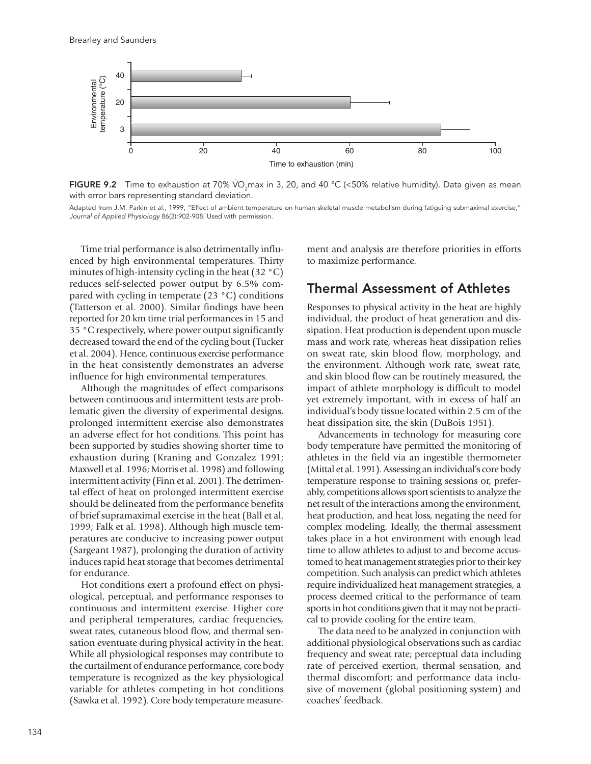

FIGURE 9.2 Time to exhaustion at 70% VO<sub>2</sub>max in 3, 20, and 40 °C (<50% relative humidity). Data given as mean with error bars representing standard deviation.

Adapted from J.M. Parkin et al., 1999, "Effect of ambient temperature on human skeletal muscle metabolism during fatiguing submaximal exercise," Journal of Applied Physiology 86(3):902-908. Used with permission.

Time trial performance is also detrimentally influenced by high environmental temperatures. Thirty minutes of high-intensity cycling in the heat (32 °C) reduces self-selected power output by 6.5% compared with cycling in temperate (23 °C) conditions (Tatterson et al. 2000). Similar findings have been reported for 20 km time trial performances in 15 and 35 °C respectively, where power output significantly decreased toward the end of the cycling bout (Tucker et al. 2004). Hence, continuous exercise performance in the heat consistently demonstrates an adverse influence for high environmental temperatures.

Although the magnitudes of effect comparisons between continuous and intermittent tests are problematic given the diversity of experimental designs, prolonged intermittent exercise also demonstrates an adverse effect for hot conditions. This point has been supported by studies showing shorter time to exhaustion during (Kraning and Gonzalez 1991; Maxwell et al. 1996; Morris et al. 1998) and following intermittent activity (Finn et al. 2001). The detrimental effect of heat on prolonged intermittent exercise should be delineated from the performance benefits of brief supramaximal exercise in the heat (Ball et al. 1999; Falk et al. 1998). Although high muscle temperatures are conducive to increasing power output (Sargeant 1987), prolonging the duration of activity induces rapid heat storage that becomes detrimental for endurance.

Hot conditions exert a profound effect on physiological, perceptual, and performance responses to continuous and intermittent exercise. Higher core and peripheral temperatures, cardiac frequencies, sweat rates, cutaneous blood flow, and thermal sensation eventuate during physical activity in the heat. While all physiological responses may contribute to the curtailment of endurance performance, core body temperature is recognized as the key physiological variable for athletes competing in hot conditions (Sawka et al. 1992). Core body temperature measurement and analysis are therefore priorities in efforts to maximize performance.

### Thermal Assessment of Athletes

Responses to physical activity in the heat are highly individual, the product of heat generation and dissipation. Heat production is dependent upon muscle mass and work rate, whereas heat dissipation relies on sweat rate, skin blood flow, morphology, and the environment. Although work rate, sweat rate, and skin blood flow can be routinely measured, the impact of athlete morphology is difficult to model yet extremely important, with in excess of half an individual's body tissue located within 2.5 cm of the heat dissipation site, the skin (DuBois 1951).

Advancements in technology for measuring core body temperature have permitted the monitoring of athletes in the field via an ingestible thermometer (Mittal et al. 1991). Assessing an individual's core body temperature response to training sessions or, preferably, competitions allows sport scientists to analyze the net result of the interactions among the environment, heat production, and heat loss, negating the need for complex modeling. Ideally, the thermal assessment takes place in a hot environment with enough lead time to allow athletes to adjust to and become accustomed to heat management strategies prior to their key competition. Such analysis can predict which athletes require individualized heat management strategies, a process deemed critical to the performance of team sports in hot conditions given that it may not be practical to provide cooling for the entire team.

The data need to be analyzed in conjunction with additional physiological observations such as cardiac frequency and sweat rate; perceptual data including rate of perceived exertion, thermal sensation, and thermal discomfort; and performance data inclusive of movement (global positioning system) and coaches' feedback.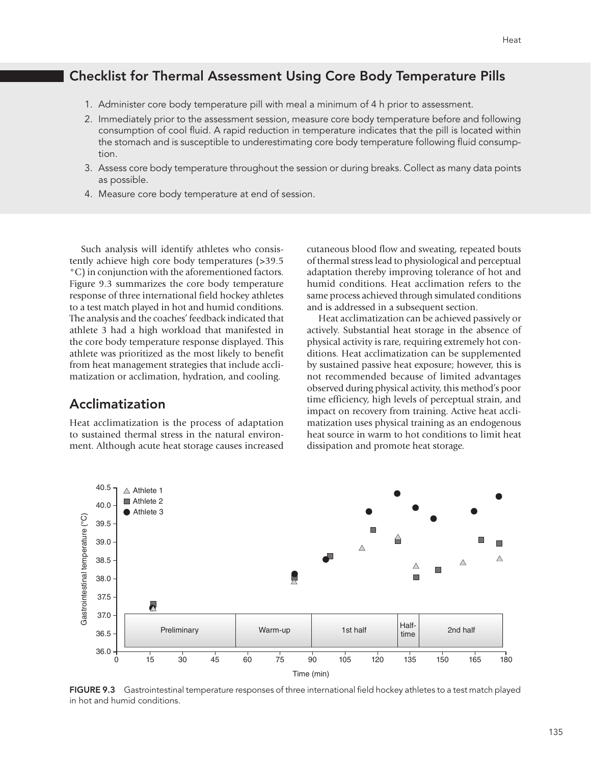### Checklist for Thermal Assessment Using Core Body Temperature Pills

- 1. Administer core body temperature pill with meal a minimum of 4 h prior to assessment.
- 2. Immediately prior to the assessment session, measure core body temperature before and following consumption of cool fluid. A rapid reduction in temperature indicates that the pill is located within the stomach and is susceptible to underestimating core body temperature following fluid consumption.
- 3. Assess core body temperature throughout the session or during breaks. Collect as many data points as possible.
- 4. Measure core body temperature at end of session.

Such analysis will identify athletes who consistently achieve high core body temperatures (>39.5 °C) in conjunction with the aforementioned factors. Figure 9.3 summarizes the core body temperature response of three international field hockey athletes to a test match played in hot and humid conditions. The analysis and the coaches' feedback indicated that athlete 3 had a high workload that manifested in the core body temperature response displayed. This athlete was prioritized as the most likely to benefit from heat management strategies that include acclimatization or acclimation, hydration, and cooling.

### Acclimatization

Heat acclimatization is the process of adaptation to sustained thermal stress in the natural environment. Although acute heat storage causes increased cutaneous blood flow and sweating, repeated bouts of thermal stress lead to physiological and perceptual adaptation thereby improving tolerance of hot and humid conditions. Heat acclimation refers to the same process achieved through simulated conditions and is addressed in a subsequent section.

Heat acclimatization can be achieved passively or actively. Substantial heat storage in the absence of physical activity is rare, requiring extremely hot conditions. Heat acclimatization can be supplemented by sustained passive heat exposure; however, this is not recommended because of limited advantages observed during physical activity, this method's poor time efficiency, high levels of perceptual strain, and impact on recovery from training. Active heat acclimatization uses physical training as an endogenous heat source in warm to hot conditions to limit heat dissipation and promote heat storage.



FIGURE 9.3 Gastrointestinal temperature responses of three international field hockey athletes to a test match played in hot and humid conditions.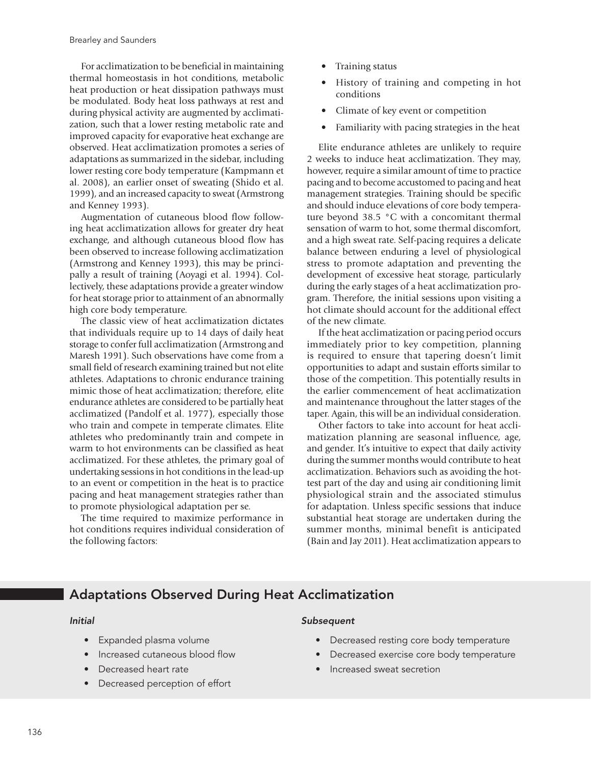For acclimatization to be beneficial in maintaining thermal homeostasis in hot conditions, metabolic heat production or heat dissipation pathways must be modulated. Body heat loss pathways at rest and during physical activity are augmented by acclimatization, such that a lower resting metabolic rate and improved capacity for evaporative heat exchange are observed. Heat acclimatization promotes a series of adaptations as summarized in the sidebar, including lower resting core body temperature (Kampmann et al. 2008), an earlier onset of sweating (Shido et al. 1999), and an increased capacity to sweat (Armstrong and Kenney 1993).

Augmentation of cutaneous blood flow following heat acclimatization allows for greater dry heat exchange, and although cutaneous blood flow has been observed to increase following acclimatization (Armstrong and Kenney 1993), this may be principally a result of training (Aoyagi et al. 1994). Collectively, these adaptations provide a greater window for heat storage prior to attainment of an abnormally high core body temperature.

The classic view of heat acclimatization dictates that individuals require up to 14 days of daily heat storage to confer full acclimatization (Armstrong and Maresh 1991). Such observations have come from a small field of research examining trained but not elite athletes. Adaptations to chronic endurance training mimic those of heat acclimatization; therefore, elite endurance athletes are considered to be partially heat acclimatized (Pandolf et al. 1977), especially those who train and compete in temperate climates. Elite athletes who predominantly train and compete in warm to hot environments can be classified as heat acclimatized. For these athletes, the primary goal of undertaking sessions in hot conditions in the lead-up to an event or competition in the heat is to practice pacing and heat management strategies rather than to promote physiological adaptation per se.

The time required to maximize performance in hot conditions requires individual consideration of the following factors:

- Training status
- History of training and competing in hot conditions
- Climate of key event or competition
- Familiarity with pacing strategies in the heat

Elite endurance athletes are unlikely to require 2 weeks to induce heat acclimatization. They may, however, require a similar amount of time to practice pacing and to become accustomed to pacing and heat management strategies. Training should be specific and should induce elevations of core body temperature beyond 38.5 °C with a concomitant thermal sensation of warm to hot, some thermal discomfort, and a high sweat rate. Self-pacing requires a delicate balance between enduring a level of physiological stress to promote adaptation and preventing the development of excessive heat storage, particularly during the early stages of a heat acclimatization program. Therefore, the initial sessions upon visiting a hot climate should account for the additional effect of the new climate.

If the heat acclimatization or pacing period occurs immediately prior to key competition, planning is required to ensure that tapering doesn't limit opportunities to adapt and sustain efforts similar to those of the competition. This potentially results in the earlier commencement of heat acclimatization and maintenance throughout the latter stages of the taper. Again, this will be an individual consideration.

Other factors to take into account for heat acclimatization planning are seasonal influence, age, and gender. It's intuitive to expect that daily activity during the summer months would contribute to heat acclimatization. Behaviors such as avoiding the hottest part of the day and using air conditioning limit physiological strain and the associated stimulus for adaptation. Unless specific sessions that induce substantial heat storage are undertaken during the summer months, minimal benefit is anticipated (Bain and Jay 2011). Heat acclimatization appears to

# Adaptations Observed During Heat Acclimatization

#### Initial

- Expanded plasma volume
- Increased cutaneous blood flow
- Decreased heart rate
- Decreased perception of effort

#### **Subsequent**

- Decreased resting core body temperature
- Decreased exercise core body temperature
- Increased sweat secretion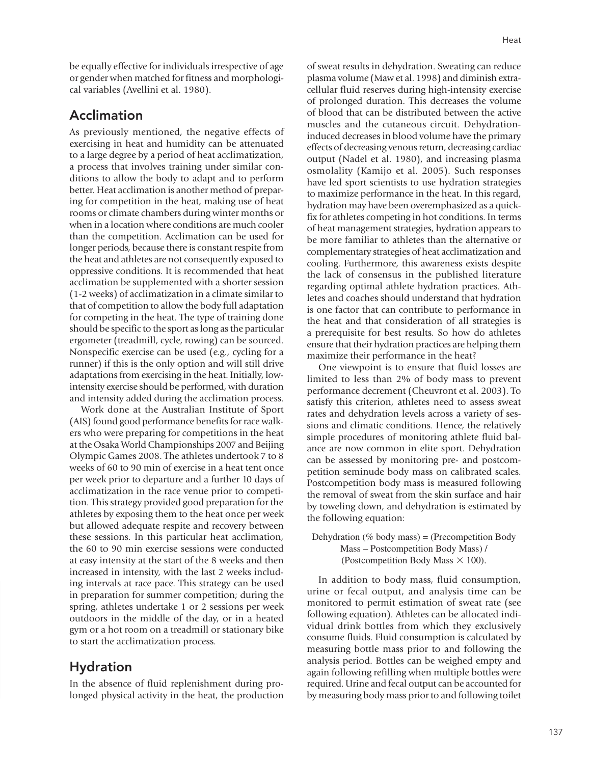be equally effective for individuals irrespective of age or gender when matched for fitness and morphological variables (Avellini et al. 1980).

### Acclimation

As previously mentioned, the negative effects of exercising in heat and humidity can be attenuated to a large degree by a period of heat acclimatization, a process that involves training under similar conditions to allow the body to adapt and to perform better. Heat acclimation is another method of preparing for competition in the heat, making use of heat rooms or climate chambers during winter months or when in a location where conditions are much cooler than the competition. Acclimation can be used for longer periods, because there is constant respite from the heat and athletes are not consequently exposed to oppressive conditions. It is recommended that heat acclimation be supplemented with a shorter session (1-2 weeks) of acclimatization in a climate similar to that of competition to allow the body full adaptation for competing in the heat. The type of training done should be specific to the sport as long as the particular ergometer (treadmill, cycle, rowing) can be sourced. Nonspecific exercise can be used (e.g., cycling for a runner) if this is the only option and will still drive adaptations from exercising in the heat. Initially, lowintensity exercise should be performed, with duration and intensity added during the acclimation process.

Work done at the Australian Institute of Sport (AIS) found good performance benefits for race walkers who were preparing for competitions in the heat at the Osaka World Championships 2007 and Beijing Olympic Games 2008. The athletes undertook 7 to 8 weeks of 60 to 90 min of exercise in a heat tent once per week prior to departure and a further 10 days of acclimatization in the race venue prior to competition. This strategy provided good preparation for the athletes by exposing them to the heat once per week but allowed adequate respite and recovery between these sessions. In this particular heat acclimation, the 60 to 90 min exercise sessions were conducted at easy intensity at the start of the 8 weeks and then increased in intensity, with the last 2 weeks including intervals at race pace. This strategy can be used in preparation for summer competition; during the spring, athletes undertake 1 or 2 sessions per week outdoors in the middle of the day, or in a heated gym or a hot room on a treadmill or stationary bike to start the acclimatization process.

### Hydration

In the absence of fluid replenishment during prolonged physical activity in the heat, the production of sweat results in dehydration. Sweating can reduce plasma volume (Maw et al. 1998) and diminish extracellular fluid reserves during high-intensity exercise of prolonged duration. This decreases the volume of blood that can be distributed between the active muscles and the cutaneous circuit. Dehydrationinduced decreases in blood volume have the primary effects of decreasing venous return, decreasing cardiac output (Nadel et al. 1980), and increasing plasma osmolality (Kamijo et al. 2005). Such responses have led sport scientists to use hydration strategies to maximize performance in the heat. In this regard, hydration may have been overemphasized as a quickfix for athletes competing in hot conditions. In terms of heat management strategies, hydration appears to be more familiar to athletes than the alternative or complementary strategies of heat acclimatization and cooling. Furthermore, this awareness exists despite the lack of consensus in the published literature regarding optimal athlete hydration practices. Athletes and coaches should understand that hydration is one factor that can contribute to performance in the heat and that consideration of all strategies is a prerequisite for best results. So how do athletes ensure that their hydration practices are helping them maximize their performance in the heat?

One viewpoint is to ensure that fluid losses are limited to less than 2% of body mass to prevent performance decrement (Cheuvront et al. 2003). To satisfy this criterion, athletes need to assess sweat rates and dehydration levels across a variety of sessions and climatic conditions. Hence, the relatively simple procedures of monitoring athlete fluid balance are now common in elite sport. Dehydration can be assessed by monitoring pre- and postcompetition seminude body mass on calibrated scales. Postcompetition body mass is measured following the removal of sweat from the skin surface and hair by toweling down, and dehydration is estimated by the following equation:

Dehydration (% body mass) = (Precompetition Body Mass – Postcompetition Body Mass) / (Postcompetition Body Mass  $\times$  100).

In addition to body mass, fluid consumption, urine or fecal output, and analysis time can be monitored to permit estimation of sweat rate (see following equation). Athletes can be allocated individual drink bottles from which they exclusively consume fluids. Fluid consumption is calculated by measuring bottle mass prior to and following the analysis period. Bottles can be weighed empty and again following refilling when multiple bottles were required. Urine and fecal output can be accounted for by measuring body mass prior to and following toilet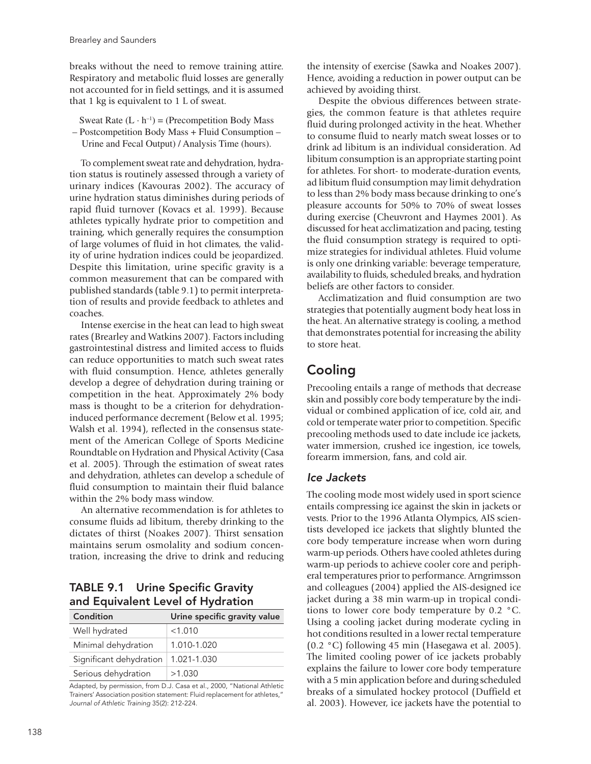breaks without the need to remove training attire. Respiratory and metabolic fluid losses are generally not accounted for in field settings, and it is assumed that 1 kg is equivalent to 1 L of sweat.

Sweat Rate  $(L \cdot h^{-1})$  = (Precompetition Body Mass – Postcompetition Body Mass + Fluid Consumption – Urine and Fecal Output) / Analysis Time (hours).

To complement sweat rate and dehydration, hydration status is routinely assessed through a variety of urinary indices (Kavouras 2002). The accuracy of urine hydration status diminishes during periods of rapid fluid turnover (Kovacs et al. 1999). Because athletes typically hydrate prior to competition and training, which generally requires the consumption of large volumes of fluid in hot climates, the validity of urine hydration indices could be jeopardized. Despite this limitation, urine specific gravity is a common measurement that can be compared with published standards (table 9.1) to permit interpretation of results and provide feedback to athletes and coaches.

Intense exercise in the heat can lead to high sweat rates (Brearley and Watkins 2007). Factors including gastrointestinal distress and limited access to fluids can reduce opportunities to match such sweat rates with fluid consumption. Hence, athletes generally develop a degree of dehydration during training or competition in the heat. Approximately 2% body mass is thought to be a criterion for dehydrationinduced performance decrement (Below et al. 1995; Walsh et al. 1994), reflected in the consensus statement of the American College of Sports Medicine Roundtable on Hydration and Physical Activity (Casa et al. 2005). Through the estimation of sweat rates and dehydration, athletes can develop a schedule of fluid consumption to maintain their fluid balance within the 2% body mass window.

An alternative recommendation is for athletes to consume fluids ad libitum, thereby drinking to the dictates of thirst (Noakes 2007). Thirst sensation maintains serum osmolality and sodium concentration, increasing the drive to drink and reducing

### TABLE 9.1 Urine Specific Gravity and Equivalent Level of Hydration

| Condition               | Urine specific gravity value |  |  |
|-------------------------|------------------------------|--|--|
| Well hydrated           | < 1.010                      |  |  |
| Minimal dehydration     | 1.010-1.020                  |  |  |
| Significant dehydration | 1.021-1.030                  |  |  |
| Serious dehydration     | >1.030                       |  |  |

Adapted, by permission, from D.J. Casa et al., 2000, "National Athletic Trainers' Association position statement: Fluid replacement for athletes," Journal of Athletic Training 35(2): 212-224.

the intensity of exercise (Sawka and Noakes 2007). Hence, avoiding a reduction in power output can be achieved by avoiding thirst.

Despite the obvious differences between strategies, the common feature is that athletes require fluid during prolonged activity in the heat. Whether to consume fluid to nearly match sweat losses or to drink ad libitum is an individual consideration. Ad libitum consumption is an appropriate starting point for athletes. For short- to moderate-duration events, ad libitum fluid consumption may limit dehydration to less than 2% body mass because drinking to one's pleasure accounts for 50% to 70% of sweat losses during exercise (Cheuvront and Haymes 2001). As discussed for heat acclimatization and pacing, testing the fluid consumption strategy is required to optimize strategies for individual athletes. Fluid volume is only one drinking variable: beverage temperature, availability to fluids, scheduled breaks, and hydration beliefs are other factors to consider.

Acclimatization and fluid consumption are two strategies that potentially augment body heat loss in the heat. An alternative strategy is cooling, a method that demonstrates potential for increasing the ability to store heat.

# Cooling

Precooling entails a range of methods that decrease skin and possibly core body temperature by the individual or combined application of ice, cold air, and cold or temperate water prior to competition. Specific precooling methods used to date include ice jackets, water immersion, crushed ice ingestion, ice towels, forearm immersion, fans, and cold air.

### Ice Jackets

The cooling mode most widely used in sport science entails compressing ice against the skin in jackets or vests. Prior to the 1996 Atlanta Olympics, AIS scientists developed ice jackets that slightly blunted the core body temperature increase when worn during warm-up periods. Others have cooled athletes during warm-up periods to achieve cooler core and peripheral temperatures prior to performance. Arngrimsson and colleagues (2004) applied the AIS-designed ice jacket during a 38 min warm-up in tropical conditions to lower core body temperature by 0.2 °C. Using a cooling jacket during moderate cycling in hot conditions resulted in a lower rectal temperature (0.2 °C) following 45 min (Hasegawa et al. 2005). The limited cooling power of ice jackets probably explains the failure to lower core body temperature with a 5 min application before and during scheduled breaks of a simulated hockey protocol (Duffield et al. 2003). However, ice jackets have the potential to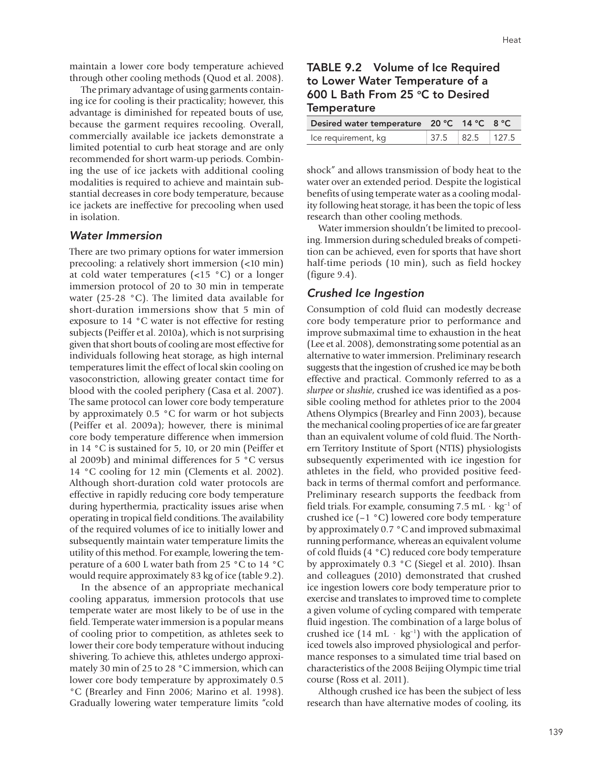maintain a lower core body temperature achieved through other cooling methods (Quod et al. 2008).

The primary advantage of using garments containing ice for cooling is their practicality; however, this advantage is diminished for repeated bouts of use, because the garment requires recooling. Overall, commercially available ice jackets demonstrate a limited potential to curb heat storage and are only recommended for short warm-up periods. Combining the use of ice jackets with additional cooling modalities is required to achieve and maintain substantial decreases in core body temperature, because ice jackets are ineffective for precooling when used in isolation.

#### Water Immersion

There are two primary options for water immersion precooling: a relatively short immersion (<10 min) at cold water temperatures (<15 °C) or a longer immersion protocol of 20 to 30 min in temperate water (25-28 °C). The limited data available for short-duration immersions show that 5 min of exposure to 14 °C water is not effective for resting subjects (Peiffer et al. 2010a), which is not surprising given that short bouts of cooling are most effective for individuals following heat storage, as high internal temperatures limit the effect of local skin cooling on vasoconstriction, allowing greater contact time for blood with the cooled periphery (Casa et al. 2007). The same protocol can lower core body temperature by approximately 0.5 °C for warm or hot subjects (Peiffer et al. 2009a); however, there is minimal core body temperature difference when immersion in 14 °C is sustained for 5, 10, or 20 min (Peiffer et al 2009b) and minimal differences for 5 °C versus 14 °C cooling for 12 min (Clements et al. 2002). Although short-duration cold water protocols are effective in rapidly reducing core body temperature during hyperthermia, practicality issues arise when operating in tropical field conditions. The availability of the required volumes of ice to initially lower and subsequently maintain water temperature limits the utility of this method. For example, lowering the temperature of a 600 L water bath from 25 °C to 14 °C would require approximately 83 kg of ice (table 9.2).

In the absence of an appropriate mechanical cooling apparatus, immersion protocols that use temperate water are most likely to be of use in the field. Temperate water immersion is a popular means of cooling prior to competition, as athletes seek to lower their core body temperature without inducing shivering. To achieve this, athletes undergo approximately 30 min of 25 to 28 °C immersion, which can lower core body temperature by approximately 0.5 °C (Brearley and Finn 2006; Marino et al. 1998). Gradually lowering water temperature limits "cold

### TABLE 9.2 Volume of Ice Required to Lower Water Temperature of a 600 L Bath From 25 °C to Desired **Temperature**

| Desired water temperature 20 °C 14 °C 8 °C |                   |  |
|--------------------------------------------|-------------------|--|
| Ice requirement, kg                        | $37.5$ 82.5 127.5 |  |

shock" and allows transmission of body heat to the water over an extended period. Despite the logistical benefits of using temperate water as a cooling modality following heat storage, it has been the topic of less research than other cooling methods.

Water immersion shouldn't be limited to precooling. Immersion during scheduled breaks of competition can be achieved, even for sports that have short half-time periods (10 min), such as field hockey (figure 9.4).

#### Crushed Ice Ingestion

Consumption of cold fluid can modestly decrease core body temperature prior to performance and improve submaximal time to exhaustion in the heat (Lee et al. 2008), demonstrating some potential as an alternative to water immersion. Preliminary research suggests that the ingestion of crushed ice may be both effective and practical. Commonly referred to as a *slurpee* or *slushie*, crushed ice was identified as a possible cooling method for athletes prior to the 2004 Athens Olympics (Brearley and Finn 2003), because the mechanical cooling properties of ice are far greater than an equivalent volume of cold fluid. The Northern Territory Institute of Sport (NTIS) physiologists subsequently experimented with ice ingestion for athletes in the field, who provided positive feedback in terms of thermal comfort and performance. Preliminary research supports the feedback from field trials. For example, consuming  $7.5$  mL  $\cdot$  kg<sup>-1</sup> of crushed ice (–1 °C) lowered core body temperature by approximately 0.7 °C and improved submaximal running performance, whereas an equivalent volume of cold fluids (4 °C) reduced core body temperature by approximately 0.3 °C (Siegel et al. 2010). Ihsan and colleagues (2010) demonstrated that crushed ice ingestion lowers core body temperature prior to exercise and translates to improved time to complete a given volume of cycling compared with temperate fluid ingestion. The combination of a large bolus of crushed ice (14 mL  $\cdot$  kg<sup>-1</sup>) with the application of iced towels also improved physiological and performance responses to a simulated time trial based on characteristics of the 2008 Beijing Olympic time trial course (Ross et al. 2011).

Although crushed ice has been the subject of less research than have alternative modes of cooling, its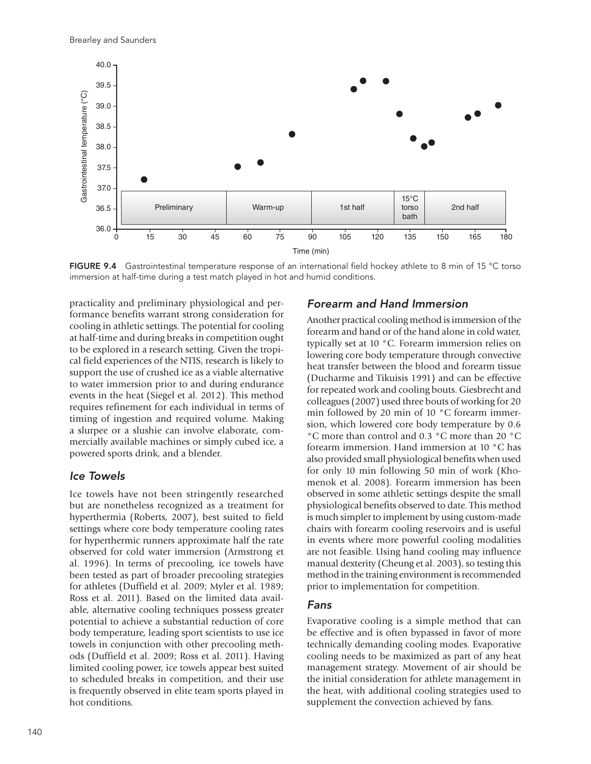

FIGURE 9.4 Gastrointestinal temperature response of an international field hockey athlete to 8 min of 15 °C torso immersion at half-time during a test match played in hot and humid conditions.

practicality and preliminary physiological and performance benefits warrant strong consideration for cooling in athletic settings. The potential for cooling at half-time and during breaks in competition ought to be explored in a research setting. Given the tropical field experiences of the NTIS, research is likely to support the use of crushed ice as a viable alternative to water immersion prior to and during endurance events in the heat (Siegel et al. 2012). This method requires refinement for each individual in terms of timing of ingestion and required volume. Making a slurpee or a slushie can involve elaborate, commercially available machines or simply cubed ice, a powered sports drink, and a blender.

#### Ice Towels

Ice towels have not been stringently researched but are nonetheless recognized as a treatment for hyperthermia (Roberts, 2007), best suited to field settings where core body temperature cooling rates for hyperthermic runners approximate half the rate observed for cold water immersion (Armstrong et al. 1996). In terms of precooling, ice towels have been tested as part of broader precooling strategies for athletes (Duffield et al. 2009; Myler et al. 1989; Ross et al. 2011). Based on the limited data available, alternative cooling techniques possess greater potential to achieve a substantial reduction of core body temperature, leading sport scientists to use ice towels in conjunction with other precooling methods (Duffield et al. 2009; Ross et al. 2011). Having limited cooling power, ice towels appear best suited to scheduled breaks in competition, and their use is frequently observed in elite team sports played in hot conditions.

### Forearm and Hand Immersion

Another practical cooling method is immersion of the forearm and hand or of the hand alone in cold water, typically set at 10 °C. Forearm immersion relies on lowering core body temperature through convective heat transfer between the blood and forearm tissue (Ducharme and Tikuisis 1991) and can be effective for repeated work and cooling bouts. Giesbrecht and colleagues (2007) used three bouts of working for 20 min followed by 20 min of 10 °C forearm immersion, which lowered core body temperature by 0.6 °C more than control and 0.3 °C more than 20 °C forearm immersion. Hand immersion at 10 °C has also provided small physiological benefits when used for only 10 min following 50 min of work (Khomenok et al. 2008). Forearm immersion has been observed in some athletic settings despite the small physiological benefits observed to date. This method is much simpler to implement by using custom-made chairs with forearm cooling reservoirs and is useful in events where more powerful cooling modalities are not feasible. Using hand cooling may influence manual dexterity (Cheung et al. 2003), so testing this method in the training environment is recommended prior to implementation for competition.

#### Fans

Evaporative cooling is a simple method that can be effective and is often bypassed in favor of more technically demanding cooling modes. Evaporative cooling needs to be maximized as part of any heat management strategy. Movement of air should be the initial consideration for athlete management in the heat, with additional cooling strategies used to supplement the convection achieved by fans.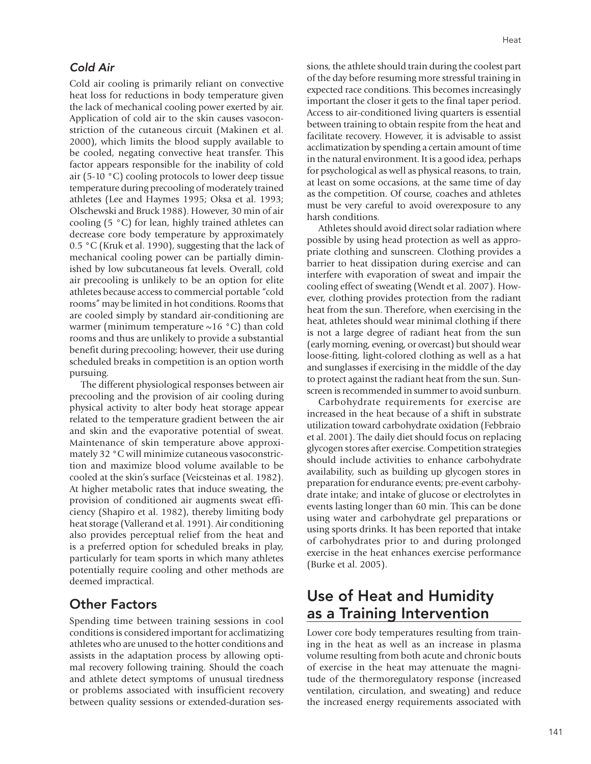#### Cold Air

Cold air cooling is primarily reliant on convective heat loss for reductions in body temperature given the lack of mechanical cooling power exerted by air. Application of cold air to the skin causes vasoconstriction of the cutaneous circuit (Makinen et al. 2000), which limits the blood supply available to be cooled, negating convective heat transfer. This factor appears responsible for the inability of cold air (5-10 °C) cooling protocols to lower deep tissue temperature during precooling of moderately trained athletes (Lee and Haymes 1995; Oksa et al. 1993; Olschewski and Bruck 1988). However, 30 min of air cooling (5 °C) for lean, highly trained athletes can decrease core body temperature by approximately 0.5 °C (Kruk et al. 1990), suggesting that the lack of mechanical cooling power can be partially diminished by low subcutaneous fat levels. Overall, cold air precooling is unlikely to be an option for elite athletes because access to commercial portable "cold rooms" may be limited in hot conditions. Rooms that are cooled simply by standard air-conditioning are warmer (minimum temperature  $\sim$ 16 °C) than cold rooms and thus are unlikely to provide a substantial benefit during precooling; however, their use during scheduled breaks in competition is an option worth pursuing.

The different physiological responses between air precooling and the provision of air cooling during physical activity to alter body heat storage appear related to the temperature gradient between the air and skin and the evaporative potential of sweat. Maintenance of skin temperature above approximately 32 °C will minimize cutaneous vasoconstriction and maximize blood volume available to be cooled at the skin's surface (Veicsteinas et al. 1982). At higher metabolic rates that induce sweating, the provision of conditioned air augments sweat efficiency (Shapiro et al. 1982), thereby limiting body heat storage (Vallerand et al. 1991). Air conditioning also provides perceptual relief from the heat and is a preferred option for scheduled breaks in play, particularly for team sports in which many athletes potentially require cooling and other methods are deemed impractical.

### Other Factors

Spending time between training sessions in cool conditions is considered important for acclimatizing athletes who are unused to the hotter conditions and assists in the adaptation process by allowing optimal recovery following training. Should the coach and athlete detect symptoms of unusual tiredness or problems associated with insufficient recovery between quality sessions or extended-duration sessions, the athlete should train during the coolest part of the day before resuming more stressful training in expected race conditions. This becomes increasingly important the closer it gets to the final taper period. Access to air-conditioned living quarters is essential between training to obtain respite from the heat and facilitate recovery. However, it is advisable to assist acclimatization by spending a certain amount of time in the natural environment. It is a good idea, perhaps for psychological as well as physical reasons, to train, at least on some occasions, at the same time of day as the competition. Of course, coaches and athletes must be very careful to avoid overexposure to any harsh conditions.

Athletes should avoid direct solar radiation where possible by using head protection as well as appropriate clothing and sunscreen. Clothing provides a barrier to heat dissipation during exercise and can interfere with evaporation of sweat and impair the cooling effect of sweating (Wendt et al. 2007). However, clothing provides protection from the radiant heat from the sun. Therefore, when exercising in the heat, athletes should wear minimal clothing if there is not a large degree of radiant heat from the sun (early morning, evening, or overcast) but should wear loose-fitting, light-colored clothing as well as a hat and sunglasses if exercising in the middle of the day to protect against the radiant heat from the sun. Sunscreen is recommended in summer to avoid sunburn.

Carbohydrate requirements for exercise are increased in the heat because of a shift in substrate utilization toward carbohydrate oxidation (Febbraio et al. 2001). The daily diet should focus on replacing glycogen stores after exercise. Competition strategies should include activities to enhance carbohydrate availability, such as building up glycogen stores in preparation for endurance events; pre-event carbohydrate intake; and intake of glucose or electrolytes in events lasting longer than 60 min. This can be done using water and carbohydrate gel preparations or using sports drinks. It has been reported that intake of carbohydrates prior to and during prolonged exercise in the heat enhances exercise performance (Burke et al. 2005).

# Use of Heat and Humidity as a Training Intervention

Lower core body temperatures resulting from training in the heat as well as an increase in plasma volume resulting from both acute and chronic bouts of exercise in the heat may attenuate the magnitude of the thermoregulatory response (increased ventilation, circulation, and sweating) and reduce the increased energy requirements associated with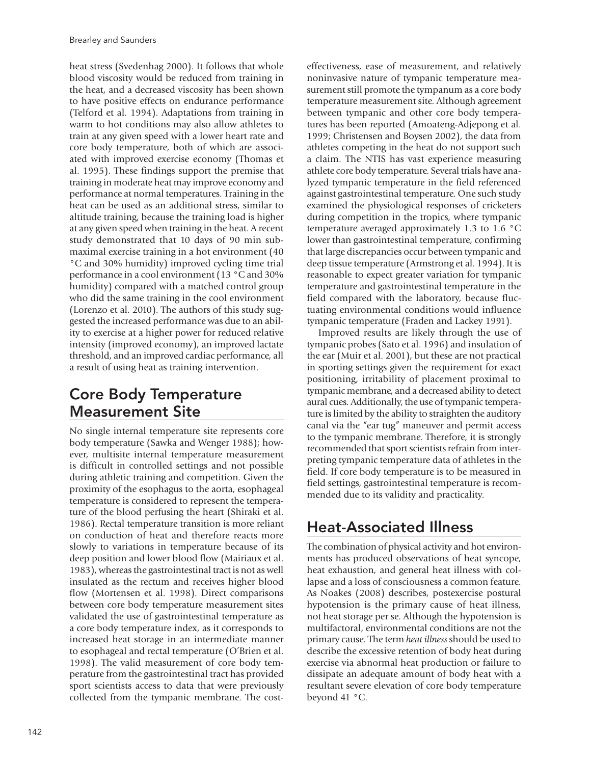heat stress (Svedenhag 2000). It follows that whole blood viscosity would be reduced from training in the heat, and a decreased viscosity has been shown to have positive effects on endurance performance (Telford et al. 1994). Adaptations from training in warm to hot conditions may also allow athletes to train at any given speed with a lower heart rate and core body temperature, both of which are associated with improved exercise economy (Thomas et al. 1995). These findings support the premise that training in moderate heat may improve economy and performance at normal temperatures. Training in the heat can be used as an additional stress, similar to altitude training, because the training load is higher at any given speed when training in the heat. A recent study demonstrated that 10 days of 90 min submaximal exercise training in a hot environment (40 °C and 30% humidity) improved cycling time trial performance in a cool environment (13 °C and 30% humidity) compared with a matched control group who did the same training in the cool environment (Lorenzo et al. 2010). The authors of this study suggested the increased performance was due to an ability to exercise at a higher power for reduced relative intensity (improved economy), an improved lactate threshold, and an improved cardiac performance, all a result of using heat as training intervention.

# Core Body Temperature Measurement Site

No single internal temperature site represents core body temperature (Sawka and Wenger 1988); however, multisite internal temperature measurement is difficult in controlled settings and not possible during athletic training and competition. Given the proximity of the esophagus to the aorta, esophageal temperature is considered to represent the temperature of the blood perfusing the heart (Shiraki et al. 1986). Rectal temperature transition is more reliant on conduction of heat and therefore reacts more slowly to variations in temperature because of its deep position and lower blood flow (Mairiaux et al. 1983), whereas the gastrointestinal tract is not as well insulated as the rectum and receives higher blood flow (Mortensen et al. 1998). Direct comparisons between core body temperature measurement sites validated the use of gastrointestinal temperature as a core body temperature index, as it corresponds to increased heat storage in an intermediate manner to esophageal and rectal temperature (O'Brien et al. 1998). The valid measurement of core body temperature from the gastrointestinal tract has provided sport scientists access to data that were previously collected from the tympanic membrane. The costeffectiveness, ease of measurement, and relatively noninvasive nature of tympanic temperature measurement still promote the tympanum as a core body temperature measurement site. Although agreement between tympanic and other core body temperatures has been reported (Amoateng-Adjepong et al. 1999; Christensen and Boysen 2002), the data from athletes competing in the heat do not support such a claim. The NTIS has vast experience measuring athlete core body temperature. Several trials have analyzed tympanic temperature in the field referenced against gastrointestinal temperature. One such study examined the physiological responses of cricketers during competition in the tropics, where tympanic temperature averaged approximately 1.3 to 1.6 °C lower than gastrointestinal temperature, confirming that large discrepancies occur between tympanic and deep tissue temperature (Armstrong et al. 1994). It is reasonable to expect greater variation for tympanic temperature and gastrointestinal temperature in the field compared with the laboratory, because fluctuating environmental conditions would influence tympanic temperature (Fraden and Lackey 1991).

Improved results are likely through the use of tympanic probes (Sato et al. 1996) and insulation of the ear (Muir et al. 2001), but these are not practical in sporting settings given the requirement for exact positioning, irritability of placement proximal to tympanic membrane, and a decreased ability to detect aural cues. Additionally, the use of tympanic temperature is limited by the ability to straighten the auditory canal via the "ear tug" maneuver and permit access to the tympanic membrane. Therefore, it is strongly recommended that sport scientists refrain from interpreting tympanic temperature data of athletes in the field. If core body temperature is to be measured in field settings, gastrointestinal temperature is recommended due to its validity and practicality.

# Heat-Associated Illness

The combination of physical activity and hot environments has produced observations of heat syncope, heat exhaustion, and general heat illness with collapse and a loss of consciousness a common feature. As Noakes (2008) describes, postexercise postural hypotension is the primary cause of heat illness, not heat storage per se. Although the hypotension is multifactoral, environmental conditions are not the primary cause. The term *heat illness* should be used to describe the excessive retention of body heat during exercise via abnormal heat production or failure to dissipate an adequate amount of body heat with a resultant severe elevation of core body temperature beyond 41 °C.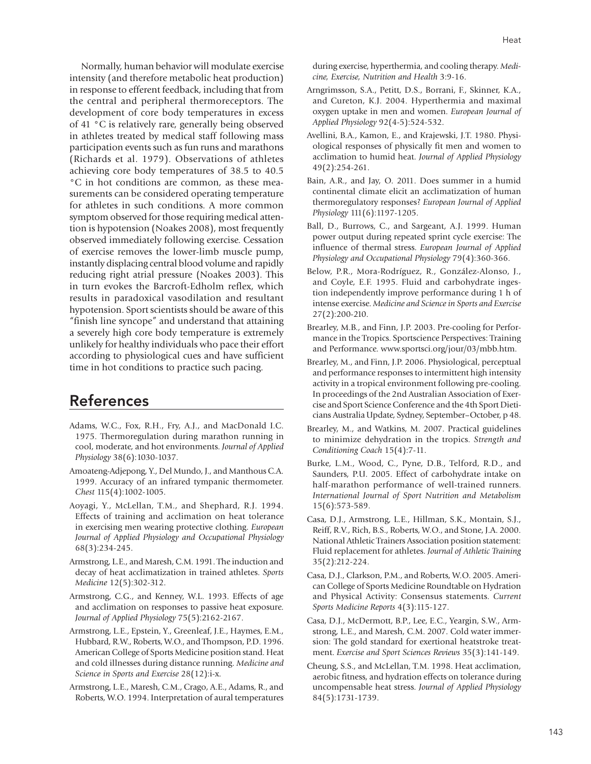Normally, human behavior will modulate exercise intensity (and therefore metabolic heat production) in response to efferent feedback, including that from the central and peripheral thermoreceptors. The development of core body temperatures in excess of 41 °C is relatively rare, generally being observed in athletes treated by medical staff following mass participation events such as fun runs and marathons (Richards et al. 1979). Observations of athletes achieving core body temperatures of 38.5 to 40.5 °C in hot conditions are common, as these measurements can be considered operating temperature for athletes in such conditions. A more common symptom observed for those requiring medical attention is hypotension (Noakes 2008), most frequently observed immediately following exercise. Cessation of exercise removes the lower-limb muscle pump, instantly displacing central blood volume and rapidly reducing right atrial pressure (Noakes 2003). This in turn evokes the Barcroft-Edholm reflex, which results in paradoxical vasodilation and resultant hypotension. Sport scientists should be aware of this "finish line syncope" and understand that attaining a severely high core body temperature is extremely unlikely for healthy individuals who pace their effort according to physiological cues and have sufficient time in hot conditions to practice such pacing.

## References

- Adams, W.C., Fox, R.H., Fry, A.J., and MacDonald I.C. 1975. Thermoregulation during marathon running in cool, moderate, and hot environments. *Journal of Applied Physiology* 38(6):1030-1037.
- Amoateng-Adjepong, Y., Del Mundo, J., and Manthous C.A. 1999. Accuracy of an infrared tympanic thermometer. *Chest* 115(4):1002-1005.
- Aoyagi, Y., McLellan, T.M., and Shephard, R.J. 1994. Effects of training and acclimation on heat tolerance in exercising men wearing protective clothing. *European Journal of Applied Physiology and Occupational Physiology* 68(3):234-245.
- Armstrong, L.E., and Maresh, C.M. 1991. The induction and decay of heat acclimatization in trained athletes. *Sports Medicine* 12(5):302-312.
- Armstrong, C.G., and Kenney, W.L. 1993. Effects of age and acclimation on responses to passive heat exposure. *Journal of Applied Physiology* 75(5):2162-2167.
- Armstrong, L.E., Epstein, Y., Greenleaf, J.E., Haymes, E.M., Hubbard, R.W., Roberts, W.O., and Thompson, P.D. 1996. American College of Sports Medicine position stand. Heat and cold illnesses during distance running. *Medicine and Science in Sports and Exercise* 28(12):i-x.
- Armstrong, L.E., Maresh, C.M., Crago, A.E., Adams, R., and Roberts, W.O. 1994. Interpretation of aural temperatures

during exercise, hyperthermia, and cooling therapy. *Medicine, Exercise, Nutrition and Health* 3:9-16.

- Arngrimsson, S.A., Petitt, D.S., Borrani, F., Skinner, K.A., and Cureton, K.J. 2004. Hyperthermia and maximal oxygen uptake in men and women. *European Journal of Applied Physiology* 92(4-5):524-532.
- Avellini, B.A., Kamon, E., and Krajewski, J.T. 1980. Physiological responses of physically fit men and women to acclimation to humid heat. *Journal of Applied Physiology* 49(2):254-261.
- Bain, A.R., and Jay, O. 2011. Does summer in a humid continental climate elicit an acclimatization of human thermoregulatory responses? *European Journal of Applied Physiology* 111(6):1197-1205.
- Ball, D., Burrows, C., and Sargeant, A.J. 1999. Human power output during repeated sprint cycle exercise: The influence of thermal stress. *European Journal of Applied Physiology and Occupational Physiology* 79(4):360-366.
- Below, P.R., Mora-Rodríguez, R., González-Alonso, J., and Coyle, E.F. 1995. Fluid and carbohydrate ingestion independently improve performance during 1 h of intense exercise. *Medicine and Science in Sports and Exercise* 27(2):200-210.
- Brearley, M.B., and Finn, J.P. 2003. Pre-cooling for Performance in the Tropics. Sportscience Perspectives: Training and Performance. www.sportsci.org/jour/03/mbb.htm.
- Brearley, M., and Finn, J.P. 2006. Physiological, perceptual and performance responses to intermittent high intensity activity in a tropical environment following pre-cooling. In proceedings of the 2nd Australian Association of Exercise and Sport Science Conference and the 4th Sport Dieticians Australia Update, Sydney, September–October, p 48.
- Brearley, M., and Watkins, M. 2007. Practical guidelines to minimize dehydration in the tropics. *Strength and Conditioning Coach* 15(4):7-11.
- Burke, L.M., Wood, C., Pyne, D.B., Telford, R.D., and Saunders, P.U. 2005. Effect of carbohydrate intake on half-marathon performance of well-trained runners. *International Journal of Sport Nutrition and Metabolism* 15(6):573-589.
- Casa, D.J., Armstrong, L.E., Hillman, S.K., Montain, S.J., Reiff, R.V., Rich, B.S., Roberts, W.O., and Stone, J.A. 2000. National Athletic Trainers Association position statement: Fluid replacement for athletes. *Journal of Athletic Training* 35(2):212-224.
- Casa, D.J., Clarkson, P.M., and Roberts, W.O. 2005. American College of Sports Medicine Roundtable on Hydration and Physical Activity: Consensus statements. *Current Sports Medicine Reports* 4(3):115-127.
- Casa, D.J., McDermott, B.P., Lee, E.C., Yeargin, S.W., Armstrong, L.E., and Maresh, C.M. 2007. Cold water immersion: The gold standard for exertional heatstroke treatment. *Exercise and Sport Sciences Reviews* 35(3):141-149.
- Cheung, S.S., and McLellan, T.M. 1998. Heat acclimation, aerobic fitness, and hydration effects on tolerance during uncompensable heat stress. *Journal of Applied Physiology* 84(5):1731-1739.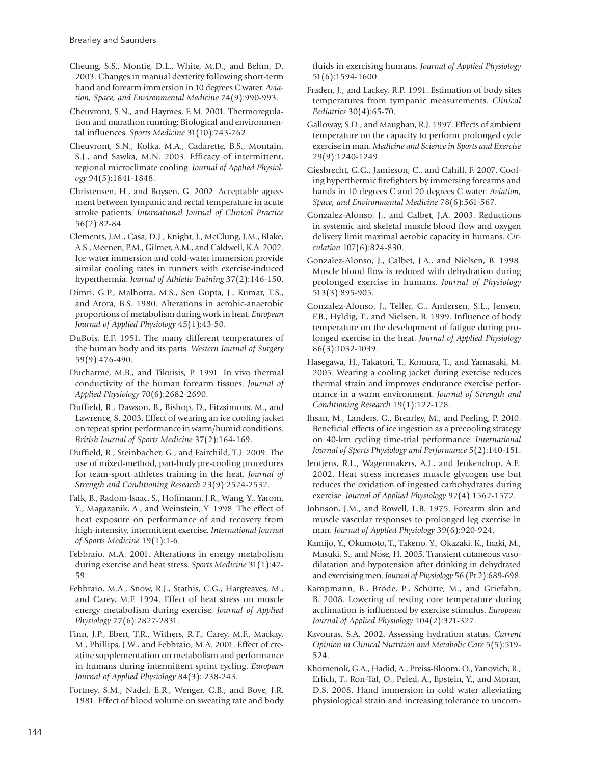- Cheung, S.S., Montie, D.L., White, M.D., and Behm, D. 2003. Changes in manual dexterity following short-term hand and forearm immersion in 10 degrees C water. *Aviation, Space, and Environmental Medicine* 74(9):990-993.
- Cheuvront, S.N., and Haymes, E.M. 2001. Thermoregulation and marathon running: Biological and environmental influences. *Sports Medicine* 31(10):743-762.
- Cheuvront, S.N., Kolka, M.A., Cadarette, B.S., Montain, S.J., and Sawka, M.N. 2003. Efficacy of intermittent, regional microclimate cooling. *Journal of Applied Physiology* 94(5):1841-1848.
- Christensen, H., and Boysen, G. 2002. Acceptable agreement between tympanic and rectal temperature in acute stroke patients. *International Journal of Clinical Practice* 56(2):82-84.
- Clements, J.M., Casa, D.J., Knight, J., McClung, J.M., Blake, A.S., Meenen, P.M., Gilmer, A.M., and Caldwell, K.A. 2002. Ice-water immersion and cold-water immersion provide similar cooling rates in runners with exercise-induced hyperthermia. *Journal of Athletic Training* 37(2):146-150.
- Dimri, G.P., Malhotra, M.S., Sen Gupta, J., Kumar, T.S., and Arora, B.S. 1980. Alterations in aerobic-anaerobic proportions of metabolism during work in heat. *European Journal of Applied Physiology* 45(1):43-50.
- DuBois, E.F. 1951. The many different temperatures of the human body and its parts. *Western Journal of Surgery* 59(9):476-490.
- Ducharme, M.B., and Tikuisis, P. 1991. In vivo thermal conductivity of the human forearm tissues. *Journal of Applied Physiology* 70(6):2682-2690.
- Duffield, R., Dawson, B., Bishop, D., Fitzsimons, M., and Lawrence, S. 2003. Effect of wearing an ice cooling jacket on repeat sprint performance in warm/humid conditions. *British Journal of Sports Medicine* 37(2):164-169.
- Duffield, R., Steinbacher, G., and Fairchild, T.J. 2009. The use of mixed-method, part-body pre-cooling procedures for team-sport athletes training in the heat. *Journal of Strength and Conditioning Research* 23(9):2524-2532.
- Falk, B., Radom-Isaac, S., Hoffmann, J.R., Wang, Y., Yarom, Y., Magazanik, A., and Weinstein, Y. 1998. The effect of heat exposure on performance of and recovery from high-intensity, intermittent exercise. *International Journal of Sports Medicine* 19(1):1-6.
- Febbraio, M.A. 2001. Alterations in energy metabolism during exercise and heat stress. *Sports Medicine* 31(1):47- 59.
- Febbraio, M.A., Snow, R.J., Stathis, C.G., Hargreaves, M., and Carey, M.F. 1994. Effect of heat stress on muscle energy metabolism during exercise. *Journal of Applied Physiology* 77(6):2827-2831.
- Finn, J.P., Ebert, T.R., Withers, R.T., Carey, M.F., Mackay, M., Phillips, J.W., and Febbraio, M.A. 2001. Effect of creatine supplementation on metabolism and performance in humans during intermittent sprint cycling. *European Journal of Applied Physiology* 84(3): 238-243.
- Fortney, S.M., Nadel, E.R., Wenger, C.B., and Bove, J.R. 1981. Effect of blood volume on sweating rate and body

fluids in exercising humans. *Journal of Applied Physiology* 51(6):1594-1600.

- Fraden, J., and Lackey, R.P. 1991. Estimation of body sites temperatures from tympanic measurements. *Clinical Pediatrics* 30(4):65-70.
- Galloway, S.D., and Maughan, R.J. 1997. Effects of ambient temperature on the capacity to perform prolonged cycle exercise in man. *Medicine and Science in Sports and Exercise* 29(9):1240-1249.
- Giesbrecht, G.G., Jamieson, C., and Cahill, F. 2007. Cooling hyperthermic firefighters by immersing forearms and hands in 10 degrees C and 20 degrees C water. *Aviation, Space, and Environmental Medicine* 78(6):561-567.
- Gonzalez-Alonso, J., and Calbet, J.A. 2003. Reductions in systemic and skeletal muscle blood flow and oxygen delivery limit maximal aerobic capacity in humans. *Circulation* 107(6):824-830.
- Gonzalez-Alonso, J., Calbet, J.A., and Nielsen, B. 1998. Muscle blood flow is reduced with dehydration during prolonged exercise in humans. *Journal of Physiology* 513(3):895-905.
- Gonzalez-Alonso, J., Teller, C., Andersen, S.L., Jensen, F.B., Hyldig, T., and Nielsen, B. 1999. Influence of body temperature on the development of fatigue during prolonged exercise in the heat. *Journal of Applied Physiology*  86(3):1032-1039.
- Hasegawa, H., Takatori, T., Komura, T., and Yamasaki, M. 2005. Wearing a cooling jacket during exercise reduces thermal strain and improves endurance exercise performance in a warm environment. *Journal of Strength and Conditioning Research* 19(1):122-128.
- Ihsan, M., Landers, G., Brearley, M., and Peeling, P. 2010. Beneficial effects of ice ingestion as a precooling strategy on 40-km cycling time-trial performance. *International Journal of Sports Physiology and Performance* 5(2):140-151.
- Jentjens, R.L., Wagenmakers, A.J., and Jeukendrup, A.E. 2002. Heat stress increases muscle glycogen use but reduces the oxidation of ingested carbohydrates during exercise. *Journal of Applied Physiology* 92(4):1562-1572.
- Johnson, J.M., and Rowell, L.B. 1975. Forearm skin and muscle vascular responses to prolonged leg exercise in man. *Journal of Applied Physiology* 39(6):920-924.
- Kamijo, Y., Okumoto, T., Takeno, Y., Okazaki, K., Inaki, M., Masuki, S., and Nose, H. 2005. Transient cutaneous vasodilatation and hypotension after drinking in dehydrated and exercising men. *Journal of Physiology* 56 (Pt 2):689-698.
- Kampmann, B., Bröde, P., Schütte, M., and Griefahn, B. 2008. Lowering of resting core temperature during acclimation is influenced by exercise stimulus. *European Journal of Applied Physiology* 104(2):321-327.
- Kavouras, S.A. 2002. Assessing hydration status. *Current Opinion in Clinical Nutrition and Metabolic Care* 5(5):519- 524.
- Khomenok, G.A., Hadid, A., Preiss-Bloom, O., Yanovich, R., Erlich, T., Ron-Tal, O., Peled, A., Epstein, Y., and Moran, D.S. 2008. Hand immersion in cold water alleviating physiological strain and increasing tolerance to uncom-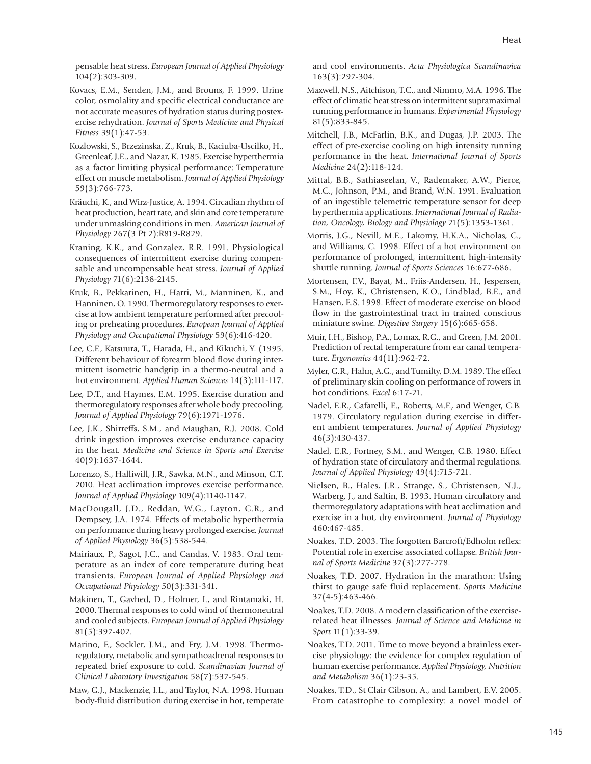pensable heat stress. *European Journal of Applied Physiology* 104(2):303-309.

- Kovacs, E.M., Senden, J.M., and Brouns, F. 1999. Urine color, osmolality and specific electrical conductance are not accurate measures of hydration status during postexercise rehydration. *Journal of Sports Medicine and Physical Fitness* 39(1):47-53.
- Kozlowski, S., Brzezinska, Z., Kruk, B., Kaciuba-Uscilko, H., Greenleaf, J.E., and Nazar, K. 1985. Exercise hyperthermia as a factor limiting physical performance: Temperature effect on muscle metabolism. *Journal of Applied Physiology* 59(3):766-773.
- Kräuchi, K., and Wirz-Justice, A. 1994. Circadian rhythm of heat production, heart rate, and skin and core temperature under unmasking conditions in men. *American Journal of Physiology* 267(3 Pt 2):R819-R829.
- Kraning, K.K., and Gonzalez, R.R. 1991. Physiological consequences of intermittent exercise during compensable and uncompensable heat stress. *Journal of Applied Physiology* 71(6):2138-2145.
- Kruk, B., Pekkarinen, H., Harri, M., Manninen, K., and Hanninen, O. 1990. Thermoregulatory responses to exercise at low ambient temperature performed after precooling or preheating procedures. *European Journal of Applied Physiology and Occupational Physiology* 59(6):416-420.
- Lee, C.F., Katsuura, T., Harada, H., and Kikuchi, Y. (1995. Different behaviour of forearm blood flow during intermittent isometric handgrip in a thermo-neutral and a hot environment. *Applied Human Sciences* 14(3):111-117.
- Lee, D.T., and Haymes, E.M. 1995. Exercise duration and thermoregulatory responses after whole body precooling. *Journal of Applied Physiology* 79(6):1971-1976.
- Lee, J.K., Shirreffs, S.M., and Maughan, R.J. 2008. Cold drink ingestion improves exercise endurance capacity in the heat. *Medicine and Science in Sports and Exercise* 40(9):1637-1644.
- Lorenzo, S., Halliwill, J.R., Sawka, M.N., and Minson, C.T. 2010. Heat acclimation improves exercise performance. *Journal of Applied Physiology* 109(4):1140-1147.
- MacDougall, J.D., Reddan, W.G., Layton, C.R., and Dempsey, J.A. 1974. Effects of metabolic hyperthermia on performance during heavy prolonged exercise. *Journal of Applied Physiology* 36(5):538-544.
- Mairiaux, P., Sagot, J.C., and Candas, V. 1983. Oral temperature as an index of core temperature during heat transients. *European Journal of Applied Physiology and Occupational Physiology* 50(3):331-341.
- Makinen, T., Gavhed, D., Holmer, I., and Rintamaki, H. 2000. Thermal responses to cold wind of thermoneutral and cooled subjects. *European Journal of Applied Physiology* 81(5):397-402.
- Marino, F., Sockler, J.M., and Fry, J.M. 1998. Thermoregulatory, metabolic and sympathoadrenal responses to repeated brief exposure to cold. *Scandinavian Journal of Clinical Laboratory Investigation* 58(7):537-545.
- Maw, G.J., Mackenzie, I.L., and Taylor, N.A. 1998. Human body-fluid distribution during exercise in hot, temperate

and cool environments. *Acta Physiologica Scandinavica* 163(3):297-304.

- Maxwell, N.S., Aitchison, T.C., and Nimmo, M.A. 1996. The effect of climatic heat stress on intermittent supramaximal running performance in humans. *Experimental Physiology* 81(5):833-845.
- Mitchell, J.B., McFarlin, B.K., and Dugas, J.P. 2003. The effect of pre-exercise cooling on high intensity running performance in the heat. *International Journal of Sports Medicine* 24(2):118-124.
- Mittal, B.B., Sathiaseelan, V., Rademaker, A.W., Pierce, M.C., Johnson, P.M., and Brand, W.N. 1991. Evaluation of an ingestible telemetric temperature sensor for deep hyperthermia applications. *International Journal of Radiation, Oncology, Biology and Physiology* 21(5):1353-1361.
- Morris, J.G., Nevill, M.E., Lakomy, H.K.A., Nicholas, C., and Williams, C. 1998. Effect of a hot environment on performance of prolonged, intermittent, high-intensity shuttle running. *Journal of Sports Sciences* 16:677-686.
- Mortensen, F.V., Bayat, M., Friis-Andersen, H., Jespersen, S.M., Hoy, K., Christensen, K.O., Lindblad, B.E., and Hansen, E.S. 1998. Effect of moderate exercise on blood flow in the gastrointestinal tract in trained conscious miniature swine. *Digestive Surgery* 15(6):665-658.
- Muir, I.H., Bishop, P.A., Lomax, R.G., and Green, J.M. 2001. Prediction of rectal temperature from ear canal temperature. *Ergonomics* 44(11):962-72.
- Myler, G.R., Hahn, A.G., and Tumilty, D.M. 1989. The effect of preliminary skin cooling on performance of rowers in hot conditions. *Excel* 6:17-21.
- Nadel, E.R., Cafarelli, E., Roberts, M.F., and Wenger, C.B. 1979. Circulatory regulation during exercise in different ambient temperatures. *Journal of Applied Physiology* 46(3):430-437.
- Nadel, E.R., Fortney, S.M., and Wenger, C.B. 1980. Effect of hydration state of circulatory and thermal regulations. *Journal of Applied Physiology* 49(4):715-721.
- Nielsen, B., Hales, J.R., Strange, S., Christensen, N.J., Warberg, J., and Saltin, B. 1993. Human circulatory and thermoregulatory adaptations with heat acclimation and exercise in a hot, dry environment. *Journal of Physiology* 460:467-485.
- Noakes, T.D. 2003. The forgotten Barcroft/Edholm reflex: Potential role in exercise associated collapse. *British Journal of Sports Medicine* 37(3):277-278.
- Noakes, T.D. 2007. Hydration in the marathon: Using thirst to gauge safe fluid replacement. *Sports Medicine* 37(4-5):463-466.
- Noakes, T.D. 2008. A modern classification of the exerciserelated heat illnesses. *Journal of Science and Medicine in Sport* 11(1):33-39.
- Noakes, T.D. 2011. Time to move beyond a brainless exercise physiology: the evidence for complex regulation of human exercise performance. *Applied Physiology, Nutrition and Metabolism* 36(1):23-35.
- Noakes, T.D., St Clair Gibson, A., and Lambert, E.V. 2005. From catastrophe to complexity: a novel model of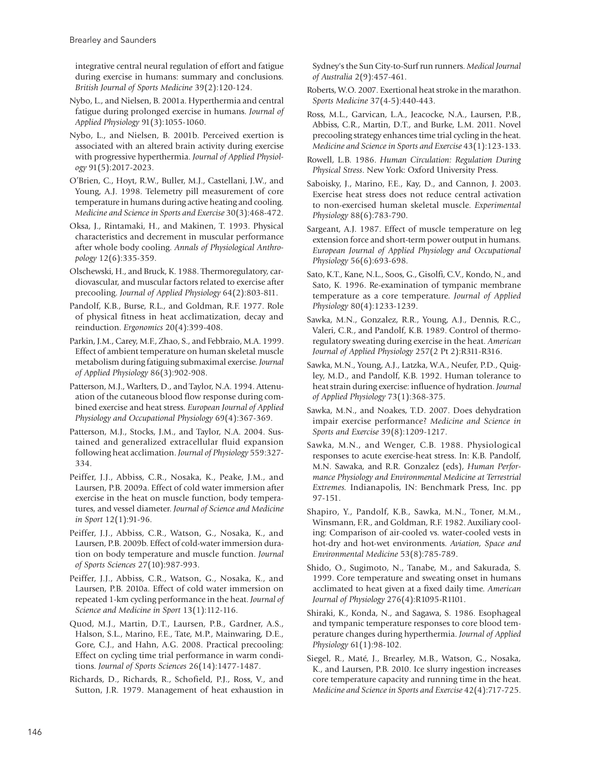integrative central neural regulation of effort and fatigue during exercise in humans: summary and conclusions. *British Journal of Sports Medicine* 39(2):120-124.

- Nybo, L., and Nielsen, B. 2001a. Hyperthermia and central fatigue during prolonged exercise in humans. *Journal of Applied Physiology* 91(3):1055-1060.
- Nybo, L., and Nielsen, B. 2001b. Perceived exertion is associated with an altered brain activity during exercise with progressive hyperthermia. *Journal of Applied Physiology* 91(5):2017-2023.
- O'Brien, C., Hoyt, R.W., Buller, M.J., Castellani, J.W., and Young, A.J. 1998. Telemetry pill measurement of core temperature in humans during active heating and cooling. *Medicine and Science in Sports and Exercise* 30(3):468-472.
- Oksa, J., Rintamaki, H., and Makinen, T. 1993. Physical characteristics and decrement in muscular performance after whole body cooling. *Annals of Physiological Anthropology* 12(6):335-359.
- Olschewski, H., and Bruck, K. 1988. Thermoregulatory, cardiovascular, and muscular factors related to exercise after precooling. *Journal of Applied Physiology* 64(2):803-811.
- Pandolf, K.B., Burse, R.L., and Goldman, R.F. 1977. Role of physical fitness in heat acclimatization, decay and reinduction. *Ergonomics* 20(4):399-408.
- Parkin, J.M., Carey, M.F., Zhao, S., and Febbraio, M.A. 1999. Effect of ambient temperature on human skeletal muscle metabolism during fatiguing submaximal exercise. *Journal of Applied Physiology* 86(3):902-908.
- Patterson, M.J., Warlters, D., and Taylor, N.A. 1994. Attenuation of the cutaneous blood flow response during combined exercise and heat stress. *European Journal of Applied Physiology and Occupational Physiology* 69(4):367-369.
- Patterson, M.J., Stocks, J.M., and Taylor, N.A. 2004. Sustained and generalized extracellular fluid expansion following heat acclimation. *Journal of Physiology* 559:327- 334.
- Peiffer, J.J., Abbiss, C.R., Nosaka, K., Peake, J.M., and Laursen, P.B. 2009a. Effect of cold water immersion after exercise in the heat on muscle function, body temperatures, and vessel diameter. *Journal of Science and Medicine in Sport* 12(1):91-96.
- Peiffer, J.J., Abbiss, C.R., Watson, G., Nosaka, K., and Laursen, P.B. 2009b. Effect of cold-water immersion duration on body temperature and muscle function. *Journal of Sports Sciences* 27(10):987-993.
- Peiffer, J.J., Abbiss, C.R., Watson, G., Nosaka, K., and Laursen, P.B. 2010a. Effect of cold water immersion on repeated 1-km cycling performance in the heat. *Journal of Science and Medicine in Sport* 13(1):112-116.
- Quod, M.J., Martin, D.T., Laursen, P.B., Gardner, A.S., Halson, S.L., Marino, F.E., Tate, M.P., Mainwaring, D.E., Gore, C.J., and Hahn, A.G. 2008. Practical precooling: Effect on cycling time trial performance in warm conditions. *Journal of Sports Sciences* 26(14):1477-1487.
- Richards, D., Richards, R., Schofield, P.J., Ross, V., and Sutton, J.R. 1979. Management of heat exhaustion in

Sydney's the Sun City-to-Surf run runners. *Medical Journal of Australia* 2(9):457-461.

- Roberts, W.O. 2007. Exertional heat stroke in the marathon. *Sports Medicine* 37(4-5):440-443.
- Ross, M.L., Garvican, L.A., Jeacocke, N.A., Laursen, P.B., Abbiss, C.R., Martin, D.T., and Burke, L.M. 2011. Novel precooling strategy enhances time trial cycling in the heat. *Medicine and Science in Sports and Exercise* 43(1):123-133.
- Rowell, L.B. 1986. *Human Circulation: Regulation During Physical Stress*. New York: Oxford University Press.
- Saboisky, J., Marino, F.E., Kay, D., and Cannon, J. 2003. Exercise heat stress does not reduce central activation to non-exercised human skeletal muscle. *Experimental Physiology* 88(6):783-790.
- Sargeant, A.J. 1987. Effect of muscle temperature on leg extension force and short-term power output in humans. *European Journal of Applied Physiology and Occupational Physiology* 56(6):693-698.
- Sato, K.T., Kane, N.L., Soos, G., Gisolfi, C.V., Kondo, N., and Sato, K. 1996. Re-examination of tympanic membrane temperature as a core temperature. *Journal of Applied Physiology* 80(4):1233-1239.
- Sawka, M.N., Gonzalez, R.R., Young, A.J., Dennis, R.C., Valeri, C.R., and Pandolf, K.B. 1989. Control of thermoregulatory sweating during exercise in the heat. *American Journal of Applied Physiology* 257(2 Pt 2):R311-R316.
- Sawka, M.N., Young, A.J., Latzka, W.A., Neufer, P.D., Quigley, M.D., and Pandolf, K.B. 1992. Human tolerance to heat strain during exercise: influence of hydration. *Journal of Applied Physiology* 73(1):368-375.
- Sawka, M.N., and Noakes, T.D. 2007. Does dehydration impair exercise performance? *Medicine and Science in Sports and Exercise* 39(8):1209-1217.
- Sawka, M.N., and Wenger, C.B. 1988. Physiological responses to acute exercise-heat stress. In: K.B. Pandolf, M.N. Sawaka, and R.R. Gonzalez (eds), *Human Performance Physiology and Environmental Medicine at Terrestrial Extremes.* Indianapolis, IN: Benchmark Press, Inc. pp 97-151.
- Shapiro, Y., Pandolf, K.B., Sawka, M.N., Toner, M.M., Winsmann, F.R., and Goldman, R.F. 1982. Auxiliary cooling: Comparison of air-cooled vs. water-cooled vests in hot-dry and hot-wet environments. *Aviation, Space and Environmental Medicine* 53(8):785-789.
- Shido, O., Sugimoto, N., Tanabe, M., and Sakurada, S. 1999. Core temperature and sweating onset in humans acclimated to heat given at a fixed daily time. *American Journal of Physiology* 276(4):R1095-R1101.
- Shiraki, K., Konda, N., and Sagawa, S. 1986. Esophageal and tympanic temperature responses to core blood temperature changes during hyperthermia. *Journal of Applied Physiology* 61(1):98-102.
- Siegel, R., Maté, J., Brearley, M.B., Watson, G., Nosaka, K., and Laursen, P.B. 2010. Ice slurry ingestion increases core temperature capacity and running time in the heat. *Medicine and Science in Sports and Exercise* 42(4):717-725.